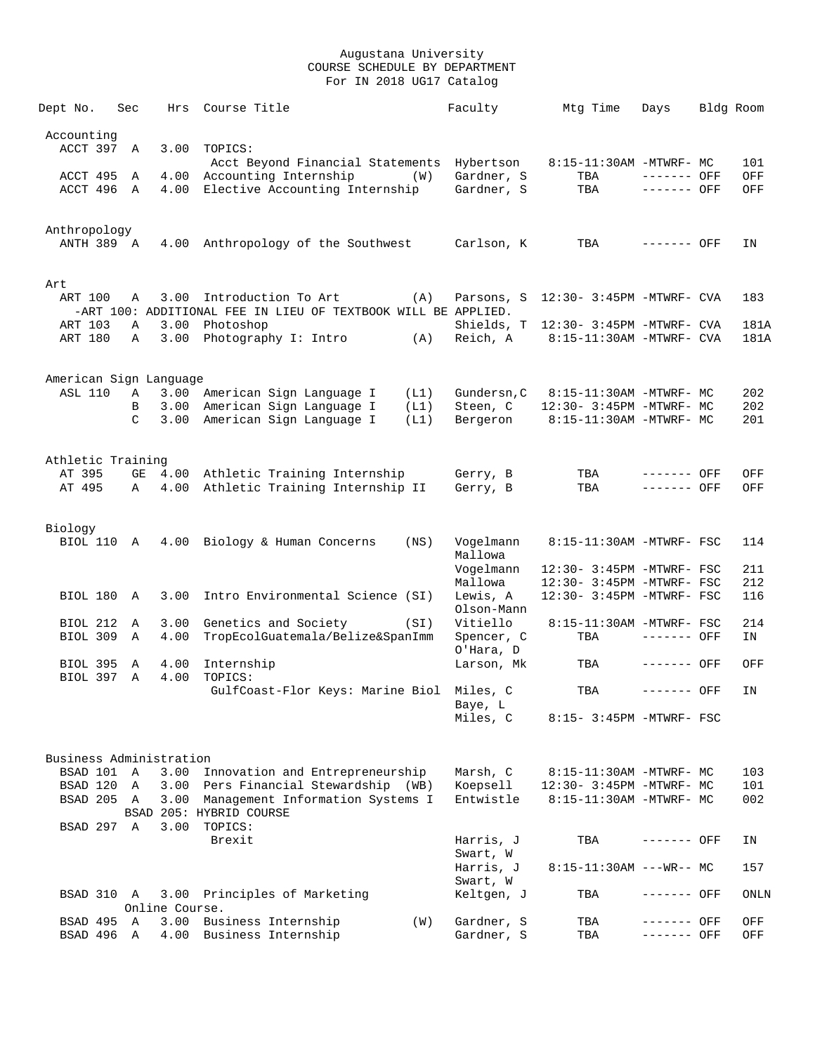| Dept No.                | Sec               | Hrs            | Course Title                                                                         |      | Faculty                 | Mtg Time                             | Days                       | Bldg Room  |
|-------------------------|-------------------|----------------|--------------------------------------------------------------------------------------|------|-------------------------|--------------------------------------|----------------------------|------------|
| Accounting              |                   |                |                                                                                      |      |                         |                                      |                            |            |
| ACCT 397                | A                 | 3.00           | TOPICS:<br>Acct Beyond Financial Statements Hybertson                                |      |                         | 8:15-11:30AM -MTWRF- MC              |                            | 101        |
| ACCT 495                | A                 | 4.00           | Accounting Internship                                                                | (W)  | Gardner, S              | TBA                                  | ------- OFF                | OFF        |
| ACCT 496                | $\mathbb{A}$      | 4.00           | Elective Accounting Internship                                                       |      | Gardner, S              | TBA                                  | ------- OFF                | OFF        |
| Anthropology            |                   |                |                                                                                      |      |                         |                                      |                            |            |
| ANTH 389 A              |                   |                | 4.00 Anthropology of the Southwest                                                   |      | Carlson, K              | TBA                                  | ------- OFF                | ΙN         |
| Art                     |                   |                |                                                                                      |      |                         |                                      |                            |            |
| ART 100                 | Α                 | 3.00           | Introduction To Art<br>-ART 100: ADDITIONAL FEE IN LIEU OF TEXTBOOK WILL BE APPLIED. | (A)  |                         | Parsons, S 12:30- 3:45PM -MTWRF- CVA |                            | 183        |
| ART 103                 | Α                 | 3.00           | Photoshop                                                                            |      |                         | Shields, T 12:30- 3:45PM -MTWRF- CVA |                            | 181A       |
| ART 180                 | A                 | 3.00           | Photography I: Intro (A)                                                             |      | Reich, A                | 8:15-11:30AM -MTWRF- CVA             |                            | 181A       |
| American Sign Language  |                   |                |                                                                                      |      |                         |                                      |                            |            |
| <b>ASL 110</b>          | A                 |                | 3.00 American Sign Language I                                                        | (L1) | Gundersn, C             | 8:15-11:30AM -MTWRF- MC              |                            | 202        |
|                         | B                 | 3.00           | American Sign Language I                                                             | (L1) | Steen, C                | 12:30- 3:45PM -MTWRF- MC             |                            | 202        |
|                         | $\mathcal{C}$     | 3.00           | American Sign Language I                                                             | (L1) | Bergeron                | 8:15-11:30AM -MTWRF- MC              |                            | 201        |
| Athletic Training       |                   |                |                                                                                      |      |                         |                                      |                            |            |
| AT 395<br>AT 495        | GE<br>Α           |                | 4.00 Athletic Training Internship<br>4.00 Athletic Training Internship II            |      | Gerry, B<br>Gerry, B    | TBA<br>TBA                           | ------- OFF<br>------- OFF | OFF<br>OFF |
|                         |                   |                |                                                                                      |      |                         |                                      |                            |            |
| Biology<br>BIOL 110 A   |                   |                | 4.00 Biology & Human Concerns                                                        | (NS) | Vogelmann               | 8:15-11:30AM -MTWRF- FSC             |                            | 114        |
|                         |                   |                |                                                                                      |      | Mallowa<br>Vogelmann    | 12:30- 3:45PM -MTWRF- FSC            |                            | 211        |
|                         |                   |                |                                                                                      |      | Mallowa                 | 12:30- 3:45PM -MTWRF- FSC            |                            | 212        |
| BIOL 180                | $\mathbb{A}$      | 3.00           | Intro Environmental Science (SI)                                                     |      | Lewis, A<br>Olson-Mann  | 12:30- 3:45PM -MTWRF- FSC            |                            | 116        |
| <b>BIOL 212</b>         | Α                 | 3.00           | Genetics and Society                                                                 | (SI) | Vitiello                | 8:15-11:30AM -MTWRF- FSC             |                            | 214        |
| BIOL 309                | Α                 | 4.00           | TropEcolGuatemala/Belize&SpanImm                                                     |      | Spencer, C<br>O'Hara, D | TBA                                  | ------- OFF                | ΙN         |
| BIOL 395<br>BIOL 397    | A<br>$\mathbb{A}$ | 4.00<br>4.00   | Internship<br>TOPICS:                                                                |      | Larson, Mk              | TBA                                  | ------- OFF                | OFF        |
|                         |                   |                | GulfCoast-Flor Keys: Marine Biol Miles, C                                            |      | Baye, L                 | TBA                                  | ------- OFF                | ΙN         |
|                         |                   |                |                                                                                      |      | Miles, C                | 8:15- 3:45PM -MTWRF- FSC             |                            |            |
| Business Administration |                   |                |                                                                                      |      |                         |                                      |                            |            |
| BSAD 101 A              |                   | 3.00           | Innovation and Entrepreneurship                                                      |      | Marsh, C                | 8:15-11:30AM -MTWRF- MC              |                            | 103        |
| BSAD 120 A              |                   |                | 3.00 Pers Financial Stewardship (WB)                                                 |      | Koepsell                | 12:30- 3:45PM -MTWRF- MC             |                            | 101        |
| BSAD 205 A              |                   |                | 3.00 Management Information Systems I<br>BSAD 205: HYBRID COURSE                     |      | Entwistle               | 8:15-11:30AM -MTWRF- MC              |                            | 002        |
| BSAD 297 A              |                   | 3.00           | TOPICS:<br>Brexit                                                                    |      | Harris, J               | TBA                                  | ------- OFF                | ΙN         |
|                         |                   |                |                                                                                      |      | Swart, W<br>Harris, J   | $8:15-11:30AM$ ---WR-- MC            |                            | 157        |
|                         |                   |                |                                                                                      |      | Swart, W                |                                      |                            |            |
| BSAD 310 A              |                   | Online Course. | 3.00 Principles of Marketing                                                         |      | Keltgen, J              | TBA                                  | ------- OFF                | ONLN       |
| BSAD 495 A              |                   |                | 3.00 Business Internship                                                             | (W)  | Gardner, S              | TBA                                  | ------- OFF                | OFF        |
| BSAD 496 A              |                   |                | 4.00 Business Internship                                                             |      | Gardner, S              | TBA                                  | ------- OFF                | OFF        |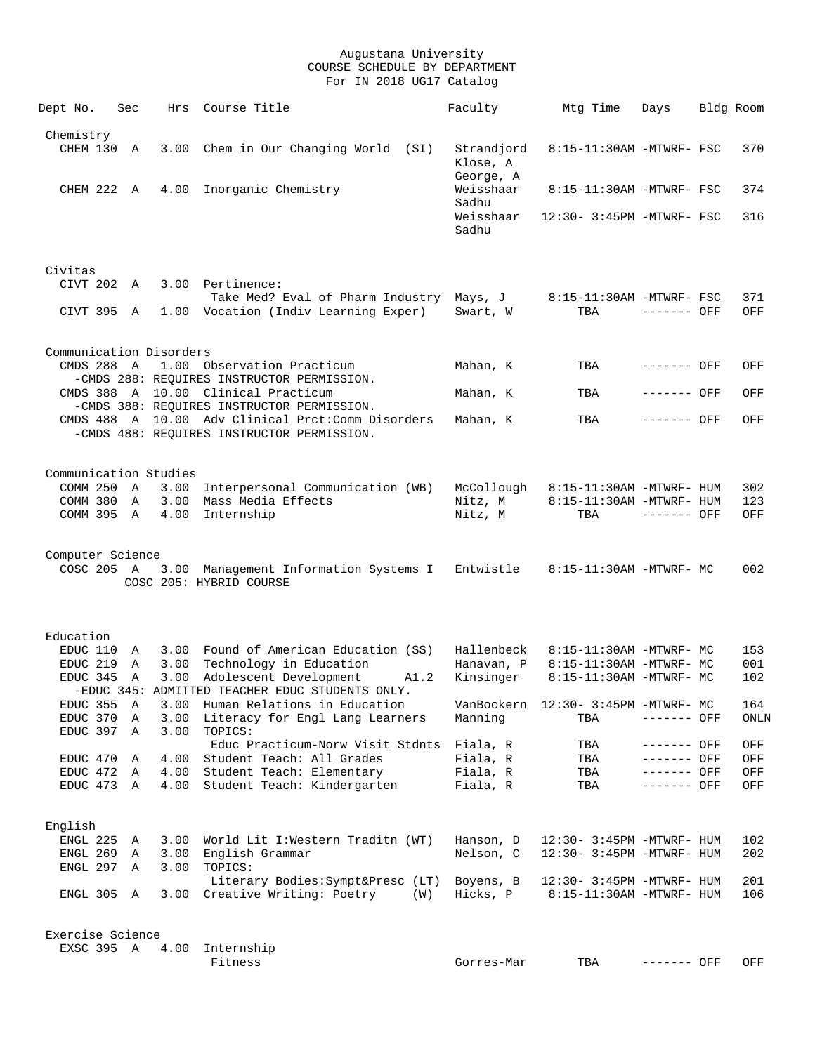| Dept No.                | Sec    |              | Hrs Course Title                                                                                 | Faculty                         | Mtg Time                                             | Days                       | Bldg Room |            |
|-------------------------|--------|--------------|--------------------------------------------------------------------------------------------------|---------------------------------|------------------------------------------------------|----------------------------|-----------|------------|
| Chemistry               |        |              |                                                                                                  |                                 |                                                      |                            |           |            |
| CHEM 130                | A      |              | 3.00 Chem in Our Changing World (SI)                                                             | Strandjord<br>Klose, A          | 8:15-11:30AM -MTWRF- FSC                             |                            |           | 370        |
| CHEM 222 A              |        |              | 4.00 Inorganic Chemistry                                                                         | George, A<br>Weisshaar<br>Sadhu | 8:15-11:30AM -MTWRF- FSC                             |                            |           | 374        |
|                         |        |              |                                                                                                  | Weisshaar<br>Sadhu              | 12:30- 3:45PM -MTWRF- FSC                            |                            |           | 316        |
| Civitas<br>CIVT 202 A   |        |              | 3.00 Pertinence:<br>Take Med? Eval of Pharm Industry Mays, J                                     |                                 | 8:15-11:30AM -MTWRF- FSC                             |                            |           | 371        |
| CIVT 395 A              |        |              | 1.00 Vocation (Indiv Learning Exper)                                                             | Swart, W                        | TBA                                                  | $------$ OFF               |           | OFF        |
| Communication Disorders |        |              |                                                                                                  |                                 |                                                      |                            |           |            |
| CMDS 288 A              |        |              | 1.00 Observation Practicum<br>-CMDS 288: REQUIRES INSTRUCTOR PERMISSION.                         | Mahan, K                        | TBA                                                  | ------- OFF                |           | OFF        |
|                         |        |              | CMDS 388 A 10.00 Clinical Practicum<br>-CMDS 388: REQUIRES INSTRUCTOR PERMISSION.                | Mahan, K                        | TBA                                                  | ------- OFF                |           | OFF        |
|                         |        |              | CMDS 488 A 10.00 Adv Clinical Prct: Comm Disorders<br>-CMDS 488: REQUIRES INSTRUCTOR PERMISSION. | Mahan, K                        | TBA                                                  | ------- OFF                |           | OFF        |
| Communication Studies   |        |              |                                                                                                  |                                 |                                                      |                            |           |            |
| COMM 250 A              |        |              | 3.00 Interpersonal Communication (WB)<br>COMM 380 A 3.00 Mass Media Effects                      | McCollough<br>Nitz, M           | 8:15-11:30AM -MTWRF- HUM<br>8:15-11:30AM -MTWRF- HUM |                            |           | 302<br>123 |
| COMM 395 A 4.00         |        |              | Internship                                                                                       | Nitz, M                         | TBA                                                  | $------$ OFF               |           | OFF        |
| Computer Science        |        |              |                                                                                                  |                                 |                                                      |                            |           |            |
| COSC 205 A              |        |              | 3.00 Management Information Systems I<br>COSC 205: HYBRID COURSE                                 | Entwistle                       | 8:15-11:30AM -MTWRF- MC                              |                            |           | 002        |
| Education               |        |              |                                                                                                  |                                 |                                                      |                            |           |            |
| EDUC 110                | A      |              | 3.00 Found of American Education (SS)                                                            | Hallenbeck                      | 8:15-11:30AM -MTWRF- MC                              |                            |           | 153        |
| EDUC 219 A              |        |              | 3.00 Technology in Education                                                                     | Hanavan, P                      | 8:15-11:30AM -MTWRF- MC                              |                            |           | 001        |
| EDUC 345 A              |        | 3.00         | Adolescent Development<br>A1.2<br>-EDUC 345: ADMITTED TEACHER EDUC STUDENTS ONLY.                | Kinsinger                       | 8:15-11:30AM -MTWRF- MC                              |                            |           | 102        |
| EDUC 355                | Α      | 3.00         | Human Relations in Education                                                                     | VanBockern                      | 12:30- 3:45PM -MTWRF- MC                             |                            |           | 164        |
| EDUC 370<br>EDUC 397    | Α<br>Α | 3.00<br>3.00 | Literacy for Engl Lang Learners<br>TOPICS:                                                       | Manning                         | TBA                                                  | ------- OFF                |           | ONLN       |
|                         |        |              | Educ Practicum-Norw Visit Stdnts                                                                 | Fiala, R                        | TBA                                                  | ------- OFF                |           | OFF        |
| EDUC 470                | Α      | 4.00<br>4.00 | Student Teach: All Grades                                                                        | Fiala, R<br>Fiala, R            | TBA                                                  | ------- OFF                |           | OFF        |
| EDUC 472<br>EDUC 473 A  | A      | 4.00         | Student Teach: Elementary<br>Student Teach: Kindergarten                                         | Fiala, R                        | TBA<br>TBA                                           | ------- OFF<br>$-----$ OFF |           | OFF<br>OFF |
| English                 |        |              |                                                                                                  |                                 |                                                      |                            |           |            |
| ENGL 225                | A      | 3.00         | World Lit I:Western Traditn (WT)                                                                 | Hanson, D                       | 12:30- 3:45PM -MTWRF- HUM                            |                            |           | 102        |
| ENGL 269<br>ENGL 297    | Α<br>Α | 3.00<br>3.00 | English Grammar<br>TOPICS:                                                                       | Nelson, C                       | 12:30- 3:45PM -MTWRF- HUM                            |                            |           | 202        |
|                         |        |              | Literary Bodies: Sympt&Presc (LT)                                                                | Boyens, B                       | 12:30- 3:45PM -MTWRF- HUM                            |                            |           | 201        |
| ENGL 305 A              |        | 3.00         | Creative Writing: Poetry<br>(W)                                                                  | Hicks, P                        | 8:15-11:30AM -MTWRF- HUM                             |                            |           | 106        |
| Exercise Science        |        |              |                                                                                                  |                                 |                                                      |                            |           |            |
| EXSC 395 A              |        | 4.00         | Internship<br>Fitness                                                                            | Gorres-Mar                      | TBA                                                  | ------- OFF                |           | OFF        |
|                         |        |              |                                                                                                  |                                 |                                                      |                            |           |            |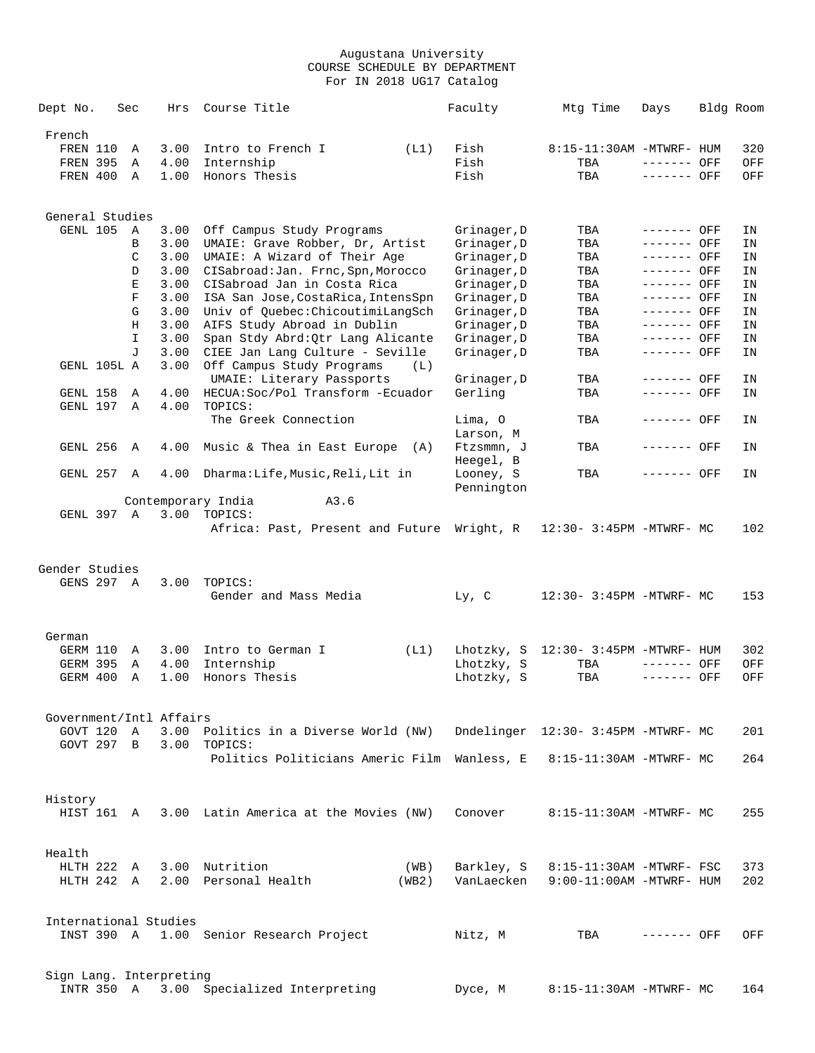| Dept No.                |            | Sec              | Hrs          | Course Title                                                            |       | Faculty                    | Mtg Time                            | Days                       | Bldg Room |          |
|-------------------------|------------|------------------|--------------|-------------------------------------------------------------------------|-------|----------------------------|-------------------------------------|----------------------------|-----------|----------|
| French                  |            |                  |              |                                                                         |       |                            |                                     |                            |           |          |
| FREN 110                |            | Α                | 3.00         | Intro to French I                                                       | (L1)  | Fish                       | 8:15-11:30AM -MTWRF- HUM            |                            |           | 320      |
| <b>FREN 395</b>         |            | Α                | 4.00         | Internship                                                              |       | Fish                       | TBA                                 | ------- OFF                |           | OFF      |
| FREN 400                |            | Α                | 1.00         | Honors Thesis                                                           |       | Fish                       | TBA                                 | ------- OFF                |           | OFF      |
|                         |            |                  |              |                                                                         |       |                            |                                     |                            |           |          |
| General Studies         |            |                  |              |                                                                         |       |                            |                                     |                            |           |          |
| GENL 105                |            | Α                | 3.00         | Off Campus Study Programs                                               |       | Grinager, D                | TBA                                 | ------- OFF                |           | ΙN       |
|                         |            | В                | 3.00         | UMAIE: Grave Robber, Dr, Artist                                         |       | Grinager, D                | TBA                                 | ------- OFF                |           | ΙN       |
|                         |            | C                | 3.00         | UMAIE: A Wizard of Their Age                                            |       | Grinager, D                | TBA                                 | ------- OFF                |           | ΙN       |
|                         |            | D                | 3.00         | CISabroad: Jan. Frnc, Spn, Morocco                                      |       | Grinager, D                | TBA                                 | ------- OFF                |           | ΙN       |
|                         |            | Е<br>$\mathbf F$ | 3.00<br>3.00 | CISabroad Jan in Costa Rica                                             |       | Grinager, D                | TBA<br>TBA                          | ------- OFF<br>------- OFF |           | ΙN       |
|                         |            | G                | 3.00         | ISA San Jose, CostaRica, IntensSpn<br>Univ of Quebec: ChicoutimiLangSch |       | Grinager, D<br>Grinager, D | TBA                                 | ------- OFF                |           | ΙN<br>ΙN |
|                         |            | Н                | 3.00         | AIFS Study Abroad in Dublin                                             |       | Grinager, D                | TBA                                 | ------- OFF                |           | ΙN       |
|                         |            | I                | 3.00         | Span Stdy Abrd: Qtr Lang Alicante                                       |       | Grinager, D                | TBA                                 | ------- OFF                |           | IN       |
|                         |            | T.               | 3.00         | CIEE Jan Lang Culture - Seville                                         |       | Grinager, D                | TBA                                 | ------- OFF                |           | ΙN       |
| GENL 105L A             |            |                  | 3.00         | Off Campus Study Programs                                               | (L)   |                            |                                     |                            |           |          |
|                         |            |                  |              | UMAIE: Literary Passports                                               |       | Grinager, D                | TBA                                 | ------- OFF                |           | ΙN       |
| GENL 158                |            | Α                | 4.00         | HECUA: Soc/Pol Transform - Ecuador                                      |       | Gerling                    | TBA                                 | ------- OFF                |           | ΙN       |
| GENL 197                |            | A                | 4.00         | TOPICS:                                                                 |       |                            |                                     | ------- OFF                |           |          |
|                         |            |                  |              | The Greek Connection                                                    |       | Lima, O<br>Larson, M       | TBA                                 |                            |           | ΙN       |
| GENL 256                |            | A                | 4.00         | Music & Thea in East Europe $(A)$                                       |       | Ftzsmmn, J                 | TBA                                 | ------- OFF                |           | ΙN       |
|                         |            |                  |              |                                                                         |       | Heegel, B                  |                                     |                            |           |          |
| GENL 257                |            | A                | 4.00         | Dharma:Life,Music,Reli,Lit in                                           |       | Looney, S<br>Pennington    | TBA                                 | ------- OFF                |           | ΙN       |
|                         |            |                  |              | Contemporary India<br>A3.6                                              |       |                            |                                     |                            |           |          |
| GENL 397                |            | A                | 3.00         | TOPICS:                                                                 |       |                            |                                     |                            |           |          |
|                         |            |                  |              | Africa: Past, Present and Future Wright, R                              |       |                            | 12:30- 3:45PM -MTWRF- MC            |                            |           | 102      |
|                         |            |                  |              |                                                                         |       |                            |                                     |                            |           |          |
| Gender Studies          |            |                  |              |                                                                         |       |                            |                                     |                            |           |          |
| GENS 297 A              |            |                  | 3.00         | TOPICS:                                                                 |       |                            |                                     |                            |           |          |
|                         |            |                  |              | Gender and Mass Media                                                   |       | Ly, C                      | 12:30- 3:45PM -MTWRF- MC            |                            |           | 153      |
|                         |            |                  |              |                                                                         |       |                            |                                     |                            |           |          |
| German                  |            |                  |              |                                                                         |       |                            |                                     |                            |           |          |
| GERM 110                |            | A                | 3.00         | Intro to German I                                                       | (L1)  | Lhotzky, S                 | $12:30-3:45PM -MTWRF - HUM$         |                            |           | 302      |
| <b>GERM 395</b>         |            | Α                | 4.00         | Internship                                                              |       | Lhotzky, S                 | TBA                                 | ------- OFF                |           | OFF      |
| GERM 400                |            | Α                | 1.00         | Honors Thesis                                                           |       | Lhotzky, S                 | TBA                                 | ------- OFF                |           | OFF      |
| Government/Intl Affairs |            |                  |              |                                                                         |       |                            |                                     |                            |           |          |
| GOVT 120 A              |            |                  |              | 3.00 Politics in a Diverse World (NW)                                   |       |                            | Dndelinger 12:30- 3:45PM -MTWRF- MC |                            |           | 201      |
| GOVT 297 B              |            |                  |              | 3.00 TOPICS:                                                            |       |                            |                                     |                            |           |          |
|                         |            |                  |              | Politics Politicians Americ Film Wanless, E                             |       |                            | 8:15-11:30AM -MTWRF- MC             |                            |           | 264      |
|                         |            |                  |              |                                                                         |       |                            |                                     |                            |           |          |
| History                 |            |                  |              |                                                                         |       |                            |                                     |                            |           |          |
|                         |            |                  |              | HIST 161 A 3.00 Latin America at the Movies (NW)                        |       | Conover                    | 8:15-11:30AM -MTWRF- MC             |                            |           | 255      |
|                         |            |                  |              |                                                                         |       |                            |                                     |                            |           |          |
| Health                  |            |                  |              |                                                                         |       |                            |                                     |                            |           |          |
|                         |            |                  |              | HLTH 222 A 3.00 Nutrition                                               | (WB)  | Barkley, S                 | 8:15-11:30AM -MTWRF- FSC            |                            |           | 373      |
| HLTH 242 A              |            |                  |              | 2.00 Personal Health                                                    | (WB2) | VanLaecken                 | $9:00-11:00$ AM -MTWRF- HUM         |                            |           | 202      |
|                         |            |                  |              |                                                                         |       |                            |                                     |                            |           |          |
| International Studies   |            |                  |              |                                                                         |       |                            |                                     |                            |           |          |
|                         |            |                  |              | INST 390 A 1.00 Senior Research Project                                 |       | Nitz, M                    | TBA                                 | ------- OFF                |           | OFF      |
|                         |            |                  |              |                                                                         |       |                            |                                     |                            |           |          |
| Sign Lang. Interpreting |            |                  |              |                                                                         |       |                            |                                     |                            |           |          |
|                         | INTR 350 A |                  |              | 3.00 Specialized Interpreting                                           |       | Dyce, M                    | 8:15-11:30AM -MTWRF- MC             |                            |           | 164      |
|                         |            |                  |              |                                                                         |       |                            |                                     |                            |           |          |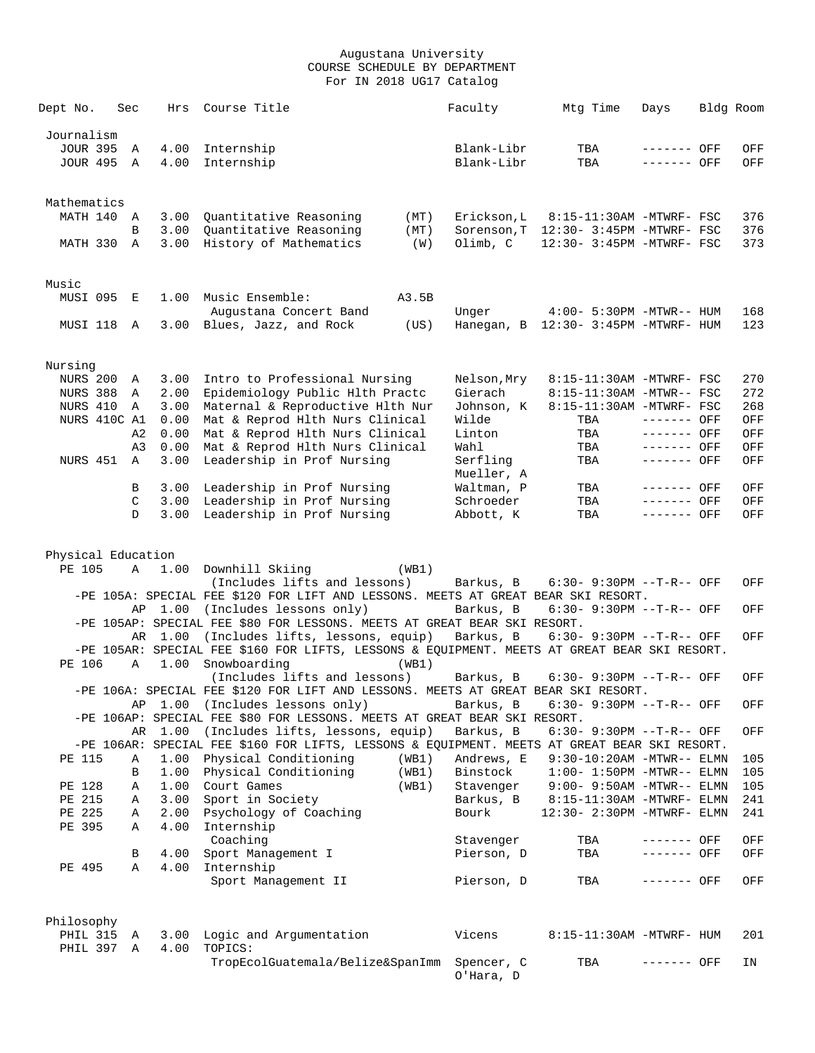| Dept No.                      | Sec               | Hrs          | Course Title                                                                                                      |       | Faculty                | Mtg Time                              | Days                         | Bldg Room |            |
|-------------------------------|-------------------|--------------|-------------------------------------------------------------------------------------------------------------------|-------|------------------------|---------------------------------------|------------------------------|-----------|------------|
|                               |                   |              |                                                                                                                   |       |                        |                                       |                              |           |            |
| Journalism<br><b>JOUR 395</b> |                   |              |                                                                                                                   |       | Blank-Libr             | TBA                                   |                              |           |            |
| JOUR 495 A                    | Α                 | 4.00<br>4.00 | Internship<br>Internship                                                                                          |       | Blank-Libr             | TBA                                   | ------- OFF<br>------- OFF   |           | OFF<br>OFF |
|                               |                   |              |                                                                                                                   |       |                        |                                       |                              |           |            |
|                               |                   |              |                                                                                                                   |       |                        |                                       |                              |           |            |
| Mathematics                   |                   |              |                                                                                                                   |       |                        |                                       |                              |           |            |
| MATH 140                      | A                 | 3.00         | Quantitative Reasoning                                                                                            | (MT)  | Erickson, L            | 8:15-11:30AM -MTWRF- FSC              |                              |           | 376        |
|                               | B                 | 3.00         | Quantitative Reasoning                                                                                            | (MT)  |                        | Sorenson, T 12:30- 3:45PM -MTWRF- FSC |                              |           | 376        |
| MATH 330 A                    |                   | 3.00         | History of Mathematics                                                                                            | (W)   | Olimb, C               | 12:30- 3:45PM -MTWRF- FSC             |                              |           | 373        |
|                               |                   |              |                                                                                                                   |       |                        |                                       |                              |           |            |
|                               |                   |              |                                                                                                                   |       |                        |                                       |                              |           |            |
| Music<br>MUSI 095             | E                 | 1.00         | Music Ensemble:                                                                                                   | A3.5B |                        |                                       |                              |           |            |
|                               |                   |              | Augustana Concert Band                                                                                            |       | Unger                  | 4:00- 5:30PM -MTWR-- HUM              |                              |           | 168        |
| MUSI 118                      | A                 |              | 3.00 Blues, Jazz, and Rock                                                                                        | (US)  |                        | Hanegan, B 12:30- 3:45PM -MTWRF- HUM  |                              |           | 123        |
|                               |                   |              |                                                                                                                   |       |                        |                                       |                              |           |            |
|                               |                   |              |                                                                                                                   |       |                        |                                       |                              |           |            |
| Nursing                       |                   |              |                                                                                                                   |       |                        |                                       |                              |           |            |
| <b>NURS 200</b>               | Α                 | 3.00         | Intro to Professional Nursing                                                                                     |       | Nelson, Mry            | 8:15-11:30AM -MTWRF- FSC              |                              |           | 270        |
| <b>NURS 388</b>               | Α                 | 2.00         | Epidemiology Public Hlth Practc                                                                                   |       | Gierach                | 8:15-11:30AM -MTWR-- FSC              |                              |           | 272        |
| NURS 410                      | Α                 | 3.00         | Maternal & Reproductive Hlth Nur                                                                                  |       | Johnson, K             | 8:15-11:30AM -MTWRF- FSC              |                              |           | 268        |
| NURS 410C A1                  |                   | 0.00         | Mat & Reprod Hlth Nurs Clinical                                                                                   |       | Wilde                  | TBA                                   | ------- OFF                  |           | OFF        |
|                               | A <sub>2</sub>    | 0.00         | Mat & Reprod Hlth Nurs Clinical                                                                                   |       | Linton                 | TBA                                   | ------- OFF                  |           | OFF        |
|                               | A <sub>3</sub>    | 0.00         | Mat & Reprod Hlth Nurs Clinical                                                                                   |       | Wahl                   | TBA                                   | ------- OFF                  |           | OFF        |
| NURS 451                      | $\mathbb{A}$      | 3.00         | Leadership in Prof Nursing                                                                                        |       | Serfling               | TBA                                   | ------- OFF                  |           | OFF        |
|                               |                   |              |                                                                                                                   |       | Mueller, A             |                                       |                              |           |            |
|                               | В                 | 3.00         | Leadership in Prof Nursing                                                                                        |       | Waltman, P             | TBA                                   | $------$ OFF<br>$------$ OFF |           | OFF        |
|                               | C<br>$\mathbb{D}$ | 3.00         | 3.00 Leadership in Prof Nursing<br>Leadership in Prof Nursing                                                     |       | Schroeder<br>Abbott, K | TBA<br>TBA                            | $-----$ OFF                  |           | OFF<br>OFF |
|                               |                   |              |                                                                                                                   |       |                        |                                       |                              |           |            |
|                               |                   |              |                                                                                                                   |       |                        |                                       |                              |           |            |
| Physical Education            |                   |              |                                                                                                                   |       |                        |                                       |                              |           |            |
| PE 105                        | Α                 | 1.00         | Downhill Skiing                                                                                                   | (WB1) |                        |                                       |                              |           |            |
|                               |                   |              | (Includes lifts and lessons)                                                                                      |       | Barkus, B              | $6:30 - 9:30PM -T-R--$ OFF            |                              |           | OFF        |
|                               |                   |              | -PE 105A: SPECIAL FEE \$120 FOR LIFT AND LESSONS. MEETS AT GREAT BEAR SKI RESORT.                                 |       |                        |                                       |                              |           |            |
|                               |                   |              | AP 1.00 (Includes lessons only)                                                                                   |       | Barkus, B              | 6:30- 9:30PM --T-R-- OFF              |                              |           | OFF        |
|                               |                   |              | -PE 105AP: SPECIAL FEE \$80 FOR LESSONS. MEETS AT GREAT BEAR SKI RESORT.                                          |       |                        |                                       |                              |           |            |
|                               |                   | AR 1.00      | (Includes lifts, lessons, equip)                                                                                  |       | Barkus, B              | 6:30- 9:30PM --T-R-- OFF              |                              |           | OFF        |
|                               |                   |              | -PE 105AR: SPECIAL FEE \$160 FOR LIFTS, LESSONS & EQUIPMENT. MEETS AT GREAT BEAR SKI RESORT.                      |       |                        |                                       |                              |           |            |
| PE 106                        | Α                 | 1.00         | Snowboarding                                                                                                      | (WB1) |                        |                                       |                              |           |            |
|                               |                   |              | (Includes lifts and lessons)<br>-PE 106A: SPECIAL FEE \$120 FOR LIFT AND LESSONS. MEETS AT GREAT BEAR SKI RESORT. |       | Barkus, B              | $6:30 - 9:30PM -T-R--$ OFF            |                              |           | OFF        |
|                               |                   | AP 1.00      | (Includes lessons only)                                                                                           |       | Barkus, B              | 6:30- 9:30PM --T-R-- OFF              |                              |           | OFF        |
|                               |                   |              | -PE 106AP: SPECIAL FEE \$80 FOR LESSONS. MEETS AT GREAT BEAR SKI RESORT.                                          |       |                        |                                       |                              |           |            |
|                               |                   | AR 1.00      | (Includes lifts, lessons, equip)                                                                                  |       | Barkus, B              | 6:30- 9:30PM --T-R-- OFF              |                              |           | OFF        |
|                               |                   |              | -PE 106AR: SPECIAL FEE \$160 FOR LIFTS, LESSONS & EQUIPMENT. MEETS AT GREAT BEAR SKI RESORT.                      |       |                        |                                       |                              |           |            |
| PE 115                        | Α                 | 1.00         | Physical Conditioning                                                                                             | (WB1) | Andrews, E             | $9:30-10:20AM - MTWR-- ELMN$          |                              |           | 105        |
|                               | В                 | 1.00         | Physical Conditioning                                                                                             | (WB1) | Binstock               | $1:00-1:50PM -MTWR--ELMN$             |                              |           | 105        |
| PE 128                        | Α                 |              | 1.00 Court Games                                                                                                  | (WB1) | Stavenger              | $9:00 - 9:50AM - MTWR-- ELMN$         |                              |           | 105        |
| PE 215                        | Α                 | 3.00         | Sport in Society                                                                                                  |       | Barkus, B              | 8:15-11:30AM -MTWRF- ELMN             |                              |           | 241        |
| PE 225                        | Α                 | 2.00         | Psychology of Coaching                                                                                            |       | Bourk                  | 12:30- 2:30PM -MTWRF- ELMN            |                              |           | 241        |
| PE 395                        | Α                 | 4.00         | Internship                                                                                                        |       |                        |                                       |                              |           |            |
|                               |                   |              | Coaching                                                                                                          |       | Stavenger              | TBA                                   | ------- OFF                  |           | OFF        |
|                               | В                 | 4.00         | Sport Management I                                                                                                |       | Pierson, D             | TBA                                   | ------- OFF                  |           | OFF        |
| PE 495                        | Α                 | 4.00         | Internship                                                                                                        |       |                        |                                       |                              |           |            |
|                               |                   |              | Sport Management II                                                                                               |       | Pierson, D             | TBA                                   | ------- OFF                  |           | OFF        |
|                               |                   |              |                                                                                                                   |       |                        |                                       |                              |           |            |
| Philosophy                    |                   |              |                                                                                                                   |       |                        |                                       |                              |           |            |
| PHIL 315                      | A                 |              | 3.00 Logic and Argumentation                                                                                      |       | Vicens                 | 8:15-11:30AM -MTWRF- HUM              |                              |           | 201        |
| PHIL 397 A                    |                   | 4.00         | TOPICS:                                                                                                           |       |                        |                                       |                              |           |            |
|                               |                   |              | TropEcolGuatemala/Belize&SpanImm Spencer, C                                                                       |       |                        | TBA                                   | ------- OFF                  |           | ΙN         |
|                               |                   |              |                                                                                                                   |       | O'Hara, D              |                                       |                              |           |            |